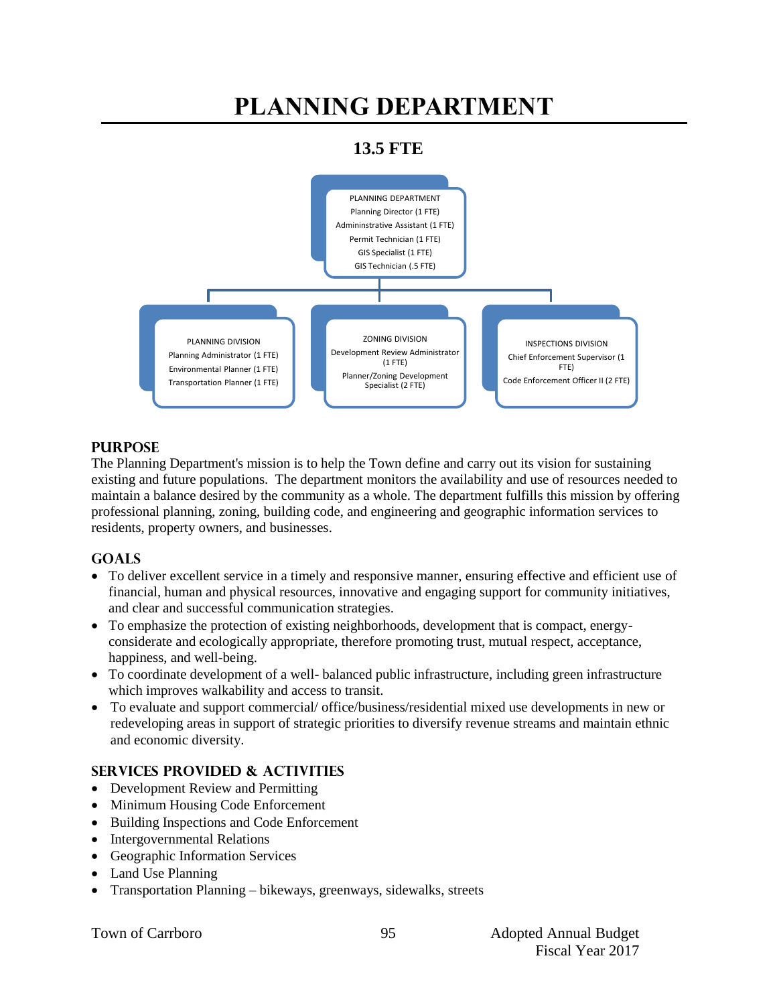# **PLANNING DEPARTMENT**

### **13.5 FTE**



#### **PURPOSE**

The Planning Department's mission is to help the Town define and carry out its vision for sustaining existing and future populations. The department monitors the availability and use of resources needed to maintain a balance desired by the community as a whole. The department fulfills this mission by offering professional planning, zoning, building code, and engineering and geographic information services to residents, property owners, and businesses.

#### **GOALS**

- To deliver excellent service in a timely and responsive manner, ensuring effective and efficient use of financial, human and physical resources, innovative and engaging support for community initiatives, and clear and successful communication strategies.
- To emphasize the protection of existing neighborhoods, development that is compact, energyconsiderate and ecologically appropriate, therefore promoting trust, mutual respect, acceptance, happiness, and well-being.
- To coordinate development of a well- balanced public infrastructure, including green infrastructure which improves walkability and access to transit.
- To evaluate and support commercial/ office/business/residential mixed use developments in new or redeveloping areas in support of strategic priorities to diversify revenue streams and maintain ethnic and economic diversity.

#### **SERVICES PROVIDED & ACTIVITIES**

- Development Review and Permitting
- Minimum Housing Code Enforcement
- Building Inspections and Code Enforcement
- Intergovernmental Relations
- Geographic Information Services
- Land Use Planning
- Transportation Planning bikeways, greenways, sidewalks, streets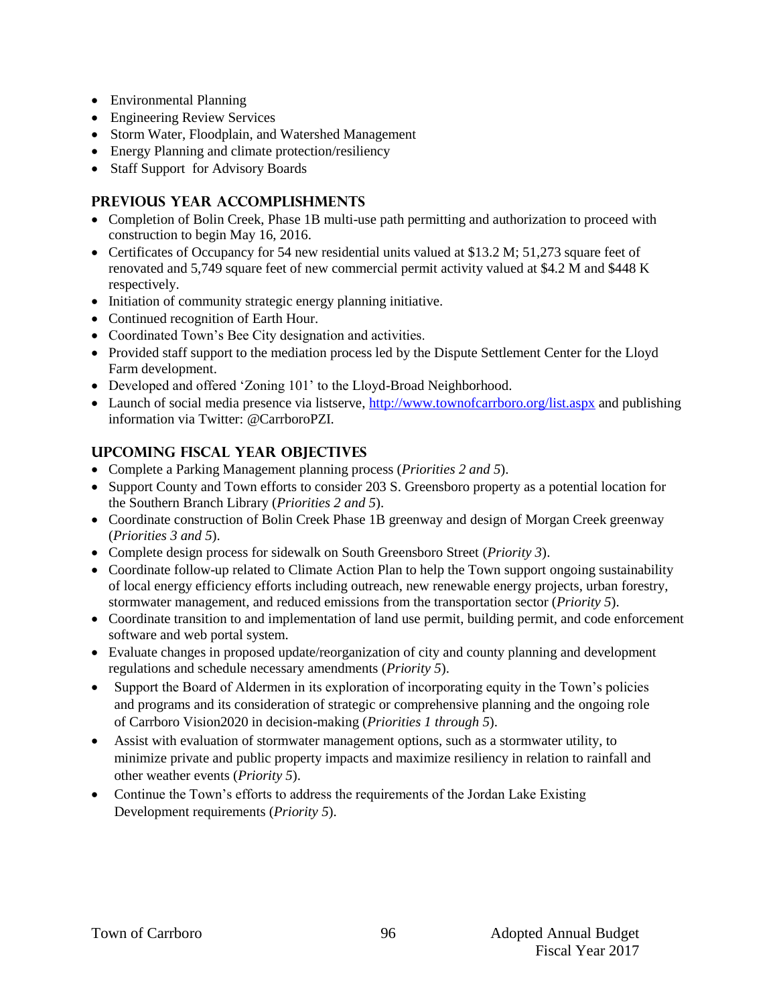- Environmental Planning
- Engineering Review Services
- Storm Water, Floodplain, and Watershed Management
- Energy Planning and climate protection/resiliency
- Staff Support for Advisory Boards

#### **PREVIOUS YEAR ACCOMPLISHMENTS**

- Completion of Bolin Creek, Phase 1B multi-use path permitting and authorization to proceed with construction to begin May 16, 2016.
- Certificates of Occupancy for 54 new residential units valued at \$13.2 M; 51,273 square feet of renovated and 5,749 square feet of new commercial permit activity valued at \$4.2 M and \$448 K respectively.
- Initiation of community strategic energy planning initiative.
- Continued recognition of Earth Hour.
- Coordinated Town's Bee City designation and activities.
- Provided staff support to the mediation process led by the Dispute Settlement Center for the Lloyd Farm development.
- Developed and offered 'Zoning 101' to the Lloyd-Broad Neighborhood.
- Launch of social media presence via listserve[, http://www.townofcarrboro.org/list.aspx](http://www.townofcarrboro.org/list.aspx) and publishing information via Twitter: @CarrboroPZI.

#### **UPCOMING FISCAL YEAR OBJECTIVES**

- Complete a Parking Management planning process (*Priorities 2 and 5*).
- Support County and Town efforts to consider 203 S. Greensboro property as a potential location for the Southern Branch Library (*Priorities 2 and 5*).
- Coordinate construction of Bolin Creek Phase 1B greenway and design of Morgan Creek greenway (*Priorities 3 and 5*).
- Complete design process for sidewalk on South Greensboro Street (*Priority 3*).
- Coordinate follow-up related to Climate Action Plan to help the Town support ongoing sustainability of local energy efficiency efforts including outreach, new renewable energy projects, urban forestry, stormwater management, and reduced emissions from the transportation sector (*Priority 5*).
- Coordinate transition to and implementation of land use permit, building permit, and code enforcement software and web portal system.
- Evaluate changes in proposed update/reorganization of city and county planning and development regulations and schedule necessary amendments (*Priority 5*).
- Support the Board of Aldermen in its exploration of incorporating equity in the Town's policies and programs and its consideration of strategic or comprehensive planning and the ongoing role of Carrboro Vision2020 in decision-making (*Priorities 1 through 5*).
- Assist with evaluation of stormwater management options, such as a stormwater utility, to minimize private and public property impacts and maximize resiliency in relation to rainfall and other weather events (*Priority 5*).
- Continue the Town's efforts to address the requirements of the Jordan Lake Existing Development requirements (*Priority 5*).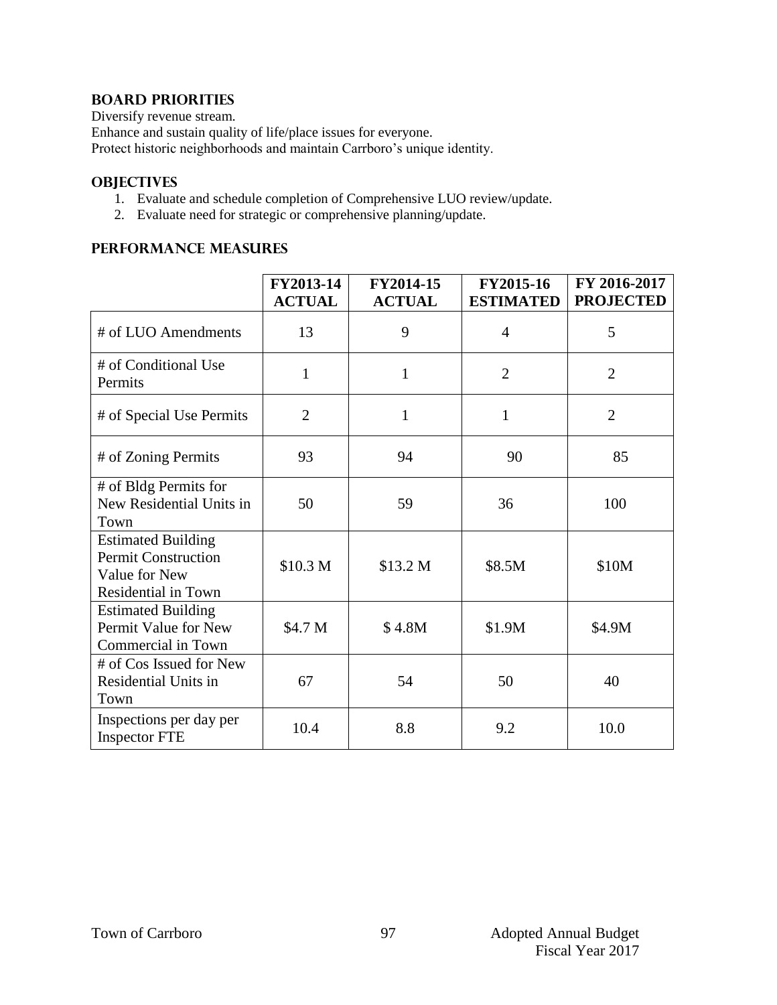#### **BOARD PRIORITIES**

Diversify revenue stream.

Enhance and sustain quality of life/place issues for everyone.

Protect historic neighborhoods and maintain Carrboro's unique identity.

#### **OBJECTIVES**

- 1. Evaluate and schedule completion of Comprehensive LUO review/update.
- 2. Evaluate need for strategic or comprehensive planning/update.

#### **PERFORMANCE MEASURES**

|                                                                                                 | FY2013-14<br><b>ACTUAL</b> | FY2014-15<br><b>ACTUAL</b> | FY2015-16<br><b>ESTIMATED</b> | FY 2016-2017<br><b>PROJECTED</b> |
|-------------------------------------------------------------------------------------------------|----------------------------|----------------------------|-------------------------------|----------------------------------|
| # of LUO Amendments                                                                             | 13                         | 9                          | $\overline{4}$                | 5                                |
| # of Conditional Use<br>Permits                                                                 | $\mathbf{1}$               | $\mathbf{1}$               | $\overline{2}$                | $\overline{2}$                   |
| # of Special Use Permits                                                                        | $\overline{2}$             | $\mathbf{1}$               | 1                             | $\overline{2}$                   |
| # of Zoning Permits                                                                             | 93                         | 94                         | 90                            | 85                               |
| # of Bldg Permits for<br>New Residential Units in<br>Town                                       | 50                         | 59                         | 36                            | 100                              |
| <b>Estimated Building</b><br><b>Permit Construction</b><br>Value for New<br>Residential in Town | \$10.3 M                   | \$13.2 M                   | \$8.5M                        | \$10M                            |
| <b>Estimated Building</b><br>Permit Value for New<br>Commercial in Town                         | \$4.7 M                    | \$4.8M                     | \$1.9M                        | \$4.9M                           |
| # of Cos Issued for New<br><b>Residential Units in</b><br>Town                                  | 67                         | 54                         | 50                            | 40                               |
| Inspections per day per<br><b>Inspector FTE</b>                                                 | 10.4                       | 8.8                        | 9.2                           | 10.0                             |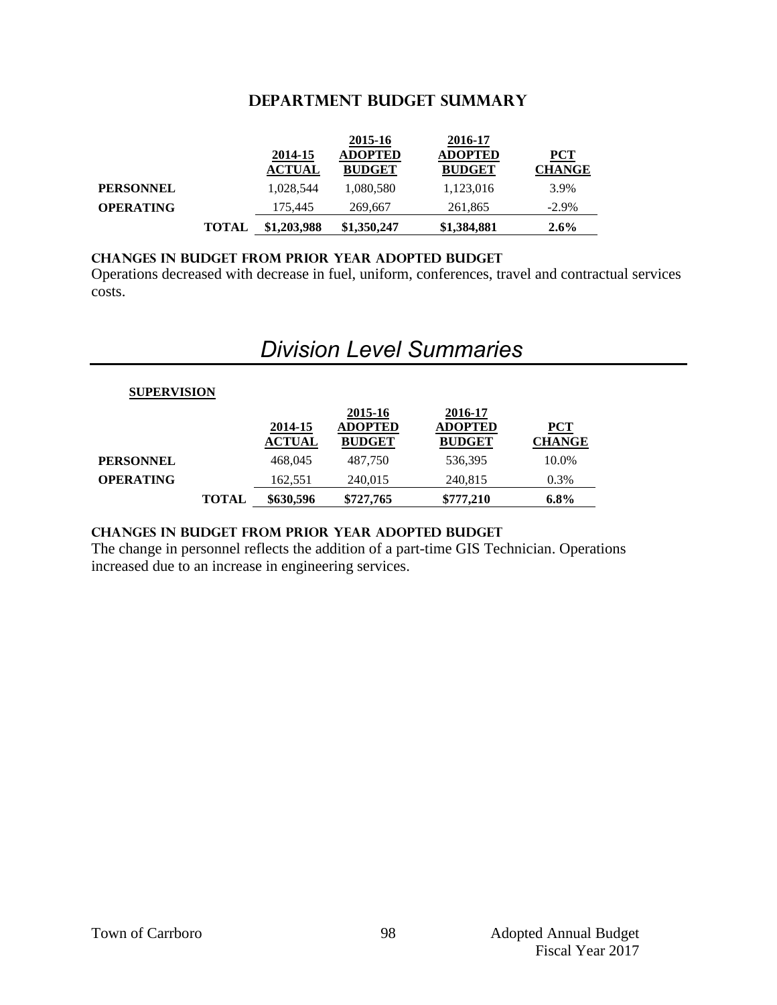#### **DEPARTMENT Budget summary**

|                  |              |               | 2015-16        | 2016-17        |               |
|------------------|--------------|---------------|----------------|----------------|---------------|
|                  |              | 2014-15       | <b>ADOPTED</b> | <b>ADOPTED</b> | $PCT$         |
|                  |              | <b>ACTUAL</b> | <b>BUDGET</b>  | <b>BUDGET</b>  | <b>CHANGE</b> |
| <b>PERSONNEL</b> |              | 1,028,544     | 1,080,580      | 1,123,016      | 3.9%          |
| <b>OPERATING</b> |              | 175,445       | 269,667        | 261,865        | $-2.9\%$      |
|                  | <b>TOTAL</b> | \$1,203,988   | \$1,350,247    | \$1,384,881    | $2.6\%$       |

#### **CHANGES IN BUDGET from PRIOR YEAR ADOPTED BUDGET**

Operations decreased with decrease in fuel, uniform, conferences, travel and contractual services costs.

## *Division Level Summaries*

### **SUPERVISION**

|                  |              |                          | 2015-16                         | 2016-17                         |                        |
|------------------|--------------|--------------------------|---------------------------------|---------------------------------|------------------------|
|                  |              | 2014-15<br><b>ACTUAL</b> | <b>ADOPTED</b><br><b>BUDGET</b> | <b>ADOPTED</b><br><b>BUDGET</b> | $PCT$<br><b>CHANGE</b> |
| <b>PERSONNEL</b> |              | 468.045                  | 487,750                         | 536,395                         | 10.0%                  |
| <b>OPERATING</b> |              | 162,551                  | 240,015                         | 240,815                         | $0.3\%$                |
|                  | <b>TOTAL</b> | \$630,596                | \$727,765                       | \$777.210                       | $6.8\%$                |

#### **changes in budget from prior year adopted budget**

The change in personnel reflects the addition of a part-time GIS Technician. Operations increased due to an increase in engineering services.